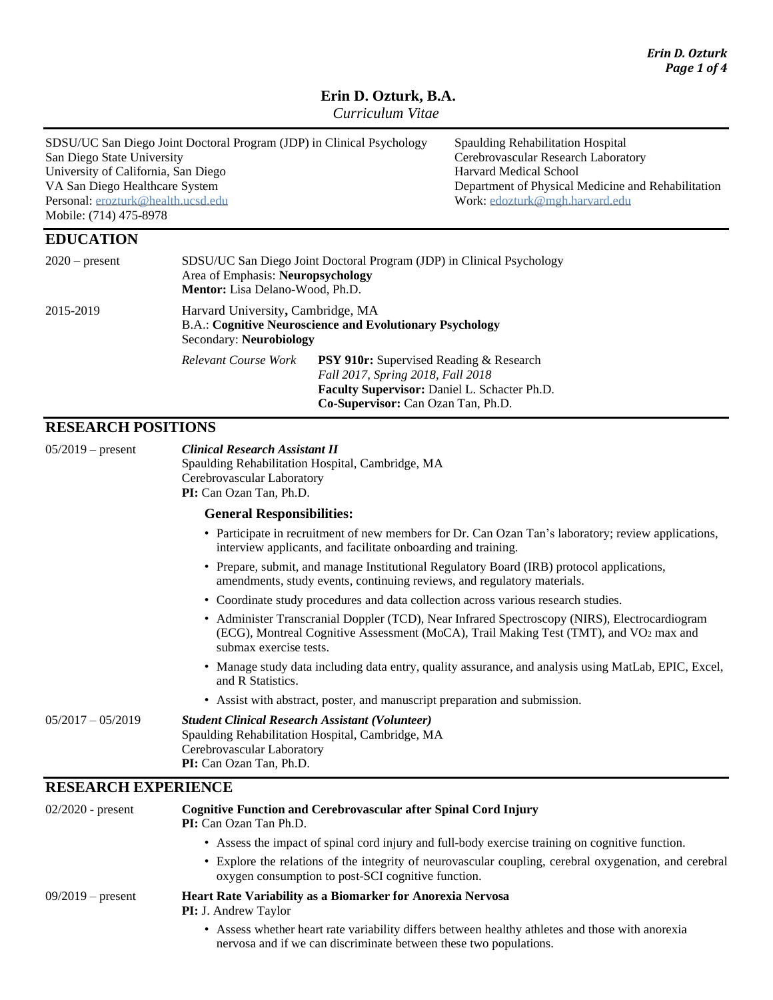# **Erin D. Ozturk, B.A.**

*Curriculum Vitae*

| SDSU/UC San Diego Joint Doctoral Program (JDP) in Clinical Psychology<br>San Diego State University<br>University of California, San Diego<br>VA San Diego Healthcare System<br>Personal: erozturk@health.ucsd.edu<br>Mobile: (714) 475-8978 |                                                                                                                                 |                                                                                                                                     | <b>Spaulding Rehabilitation Hospital</b><br>Cerebrovascular Research Laboratory<br>Harvard Medical School<br>Department of Physical Medicine and Rehabilitation<br>Work: edozturk@mgh.harvard.edu |
|----------------------------------------------------------------------------------------------------------------------------------------------------------------------------------------------------------------------------------------------|---------------------------------------------------------------------------------------------------------------------------------|-------------------------------------------------------------------------------------------------------------------------------------|---------------------------------------------------------------------------------------------------------------------------------------------------------------------------------------------------|
| <b>EDUCATION</b>                                                                                                                                                                                                                             |                                                                                                                                 |                                                                                                                                     |                                                                                                                                                                                                   |
| $2020$ – present                                                                                                                                                                                                                             | Area of Emphasis: Neuropsychology<br><b>Mentor:</b> Lisa Delano-Wood, Ph.D.                                                     | SDSU/UC San Diego Joint Doctoral Program (JDP) in Clinical Psychology                                                               |                                                                                                                                                                                                   |
| 2015-2019                                                                                                                                                                                                                                    | Harvard University, Cambridge, MA<br><b>B.A.: Cognitive Neuroscience and Evolutionary Psychology</b><br>Secondary: Neurobiology |                                                                                                                                     |                                                                                                                                                                                                   |
|                                                                                                                                                                                                                                              | Relevant Course Work                                                                                                            | <b>PSY 910r:</b> Supervised Reading & Research<br>Fall 2017, Spring 2018, Fall 2018<br>Faculty Supervisor: Daniel L. Schacter Ph.D. |                                                                                                                                                                                                   |

**Co-Supervisor:** Can Ozan Tan, Ph.D.

## **RESEARCH POSITIONS**

| $05/2019$ – present        | <b>Clinical Research Assistant II</b>                                                                                                                                                                                        |
|----------------------------|------------------------------------------------------------------------------------------------------------------------------------------------------------------------------------------------------------------------------|
|                            | Spaulding Rehabilitation Hospital, Cambridge, MA                                                                                                                                                                             |
|                            | Cerebrovascular Laboratory<br>PI: Can Ozan Tan, Ph.D.                                                                                                                                                                        |
|                            |                                                                                                                                                                                                                              |
|                            | <b>General Responsibilities:</b>                                                                                                                                                                                             |
|                            | • Participate in recruitment of new members for Dr. Can Ozan Tan's laboratory; review applications,<br>interview applicants, and facilitate onboarding and training.                                                         |
|                            | • Prepare, submit, and manage Institutional Regulatory Board (IRB) protocol applications,<br>amendments, study events, continuing reviews, and regulatory materials.                                                         |
|                            | • Coordinate study procedures and data collection across various research studies.                                                                                                                                           |
|                            | • Administer Transcranial Doppler (TCD), Near Infrared Spectroscopy (NIRS), Electrocardiogram<br>(ECG), Montreal Cognitive Assessment (MoCA), Trail Making Test (TMT), and VO <sub>2</sub> max and<br>submax exercise tests. |
|                            | • Manage study data including data entry, quality assurance, and analysis using MatLab, EPIC, Excel,<br>and R Statistics.                                                                                                    |
|                            | • Assist with abstract, poster, and manuscript preparation and submission.                                                                                                                                                   |
| $05/2017 - 05/2019$        | <b>Student Clinical Research Assistant (Volunteer)</b><br>Spaulding Rehabilitation Hospital, Cambridge, MA<br>Cerebrovascular Laboratory<br>PI: Can Ozan Tan, Ph.D.                                                          |
| <b>RESEARCH EXPERIENCE</b> |                                                                                                                                                                                                                              |
| $02/2020$ provent          | Cognitive Eunction and Cerebrovascular after Spinal Cord Injury                                                                                                                                                              |

| $02/2020$ - present | <b>Cognitive Function and Cerebrovascular after Spinal Cord Injury</b><br><b>PI:</b> Can Ozan Tan Ph.D.                                                               |  |  |
|---------------------|-----------------------------------------------------------------------------------------------------------------------------------------------------------------------|--|--|
|                     | • Assess the impact of spinal cord injury and full-body exercise training on cognitive function.                                                                      |  |  |
|                     | • Explore the relations of the integrity of neurovascular coupling, cerebral oxygenation, and cerebral<br>oxygen consumption to post-SCI cognitive function.          |  |  |
| $09/2019$ – present | <b>Heart Rate Variability as a Biomarker for Anorexia Nervosa</b><br><b>PI:</b> J. Andrew Taylor                                                                      |  |  |
|                     | • Assess whether heart rate variability differs between healthy athletes and those with anorexia<br>nervosa and if we can discriminate between these two populations. |  |  |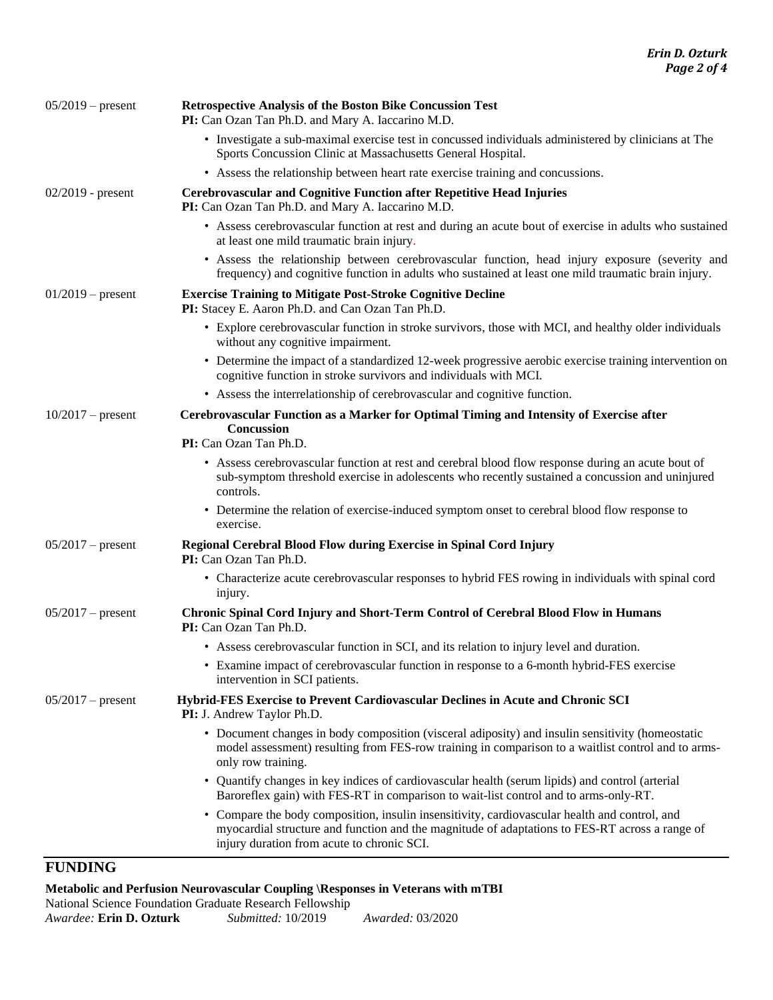| $05/2019$ – present | <b>Retrospective Analysis of the Boston Bike Concussion Test</b><br>PI: Can Ozan Tan Ph.D. and Mary A. Iaccarino M.D.                                                                                                                         |  |  |
|---------------------|-----------------------------------------------------------------------------------------------------------------------------------------------------------------------------------------------------------------------------------------------|--|--|
|                     | • Investigate a sub-maximal exercise test in concussed individuals administered by clinicians at The<br>Sports Concussion Clinic at Massachusetts General Hospital.                                                                           |  |  |
|                     | • Assess the relationship between heart rate exercise training and concussions.                                                                                                                                                               |  |  |
| $02/2019$ - present | <b>Cerebrovascular and Cognitive Function after Repetitive Head Injuries</b><br>PI: Can Ozan Tan Ph.D. and Mary A. Iaccarino M.D.                                                                                                             |  |  |
|                     | • Assess cerebrovascular function at rest and during an acute bout of exercise in adults who sustained<br>at least one mild traumatic brain injury.                                                                                           |  |  |
|                     | • Assess the relationship between cerebrovascular function, head injury exposure (severity and<br>frequency) and cognitive function in adults who sustained at least one mild traumatic brain injury.                                         |  |  |
| $01/2019$ – present | <b>Exercise Training to Mitigate Post-Stroke Cognitive Decline</b><br>PI: Stacey E. Aaron Ph.D. and Can Ozan Tan Ph.D.                                                                                                                        |  |  |
|                     | • Explore cerebrovascular function in stroke survivors, those with MCI, and healthy older individuals<br>without any cognitive impairment.                                                                                                    |  |  |
|                     | • Determine the impact of a standardized 12-week progressive aerobic exercise training intervention on<br>cognitive function in stroke survivors and individuals with MCI.                                                                    |  |  |
|                     | • Assess the interrelationship of cerebrovascular and cognitive function.                                                                                                                                                                     |  |  |
| $10/2017$ – present | Cerebrovascular Function as a Marker for Optimal Timing and Intensity of Exercise after<br><b>Concussion</b><br>PI: Can Ozan Tan Ph.D.                                                                                                        |  |  |
|                     | • Assess cerebrovascular function at rest and cerebral blood flow response during an acute bout of<br>sub-symptom threshold exercise in adolescents who recently sustained a concussion and uninjured<br>controls.                            |  |  |
|                     | • Determine the relation of exercise-induced symptom onset to cerebral blood flow response to<br>exercise.                                                                                                                                    |  |  |
| $05/2017$ – present | Regional Cerebral Blood Flow during Exercise in Spinal Cord Injury<br>PI: Can Ozan Tan Ph.D.                                                                                                                                                  |  |  |
|                     | • Characterize acute cerebrovascular responses to hybrid FES rowing in individuals with spinal cord<br>injury.                                                                                                                                |  |  |
| $05/2017$ – present | <b>Chronic Spinal Cord Injury and Short-Term Control of Cerebral Blood Flow in Humans</b><br>PI: Can Ozan Tan Ph.D.                                                                                                                           |  |  |
|                     | • Assess cerebrovascular function in SCI, and its relation to injury level and duration.                                                                                                                                                      |  |  |
|                     | Examine impact of cerebrovascular function in response to a 6-month hybrid-FES exercise<br>intervention in SCI patients.                                                                                                                      |  |  |
| $05/2017$ – present | Hybrid-FES Exercise to Prevent Cardiovascular Declines in Acute and Chronic SCI<br>PI: J. Andrew Taylor Ph.D.                                                                                                                                 |  |  |
|                     | • Document changes in body composition (visceral adiposity) and insulin sensitivity (homeostatic<br>model assessment) resulting from FES-row training in comparison to a waitlist control and to arms-<br>only row training.                  |  |  |
|                     | Quantify changes in key indices of cardiovascular health (serum lipids) and control (arterial<br>$\bullet$<br>Baroreflex gain) with FES-RT in comparison to wait-list control and to arms-only-RT.                                            |  |  |
|                     | • Compare the body composition, insulin insensitivity, cardiovascular health and control, and<br>myocardial structure and function and the magnitude of adaptations to FES-RT across a range of<br>injury duration from acute to chronic SCI. |  |  |

### **FUNDING**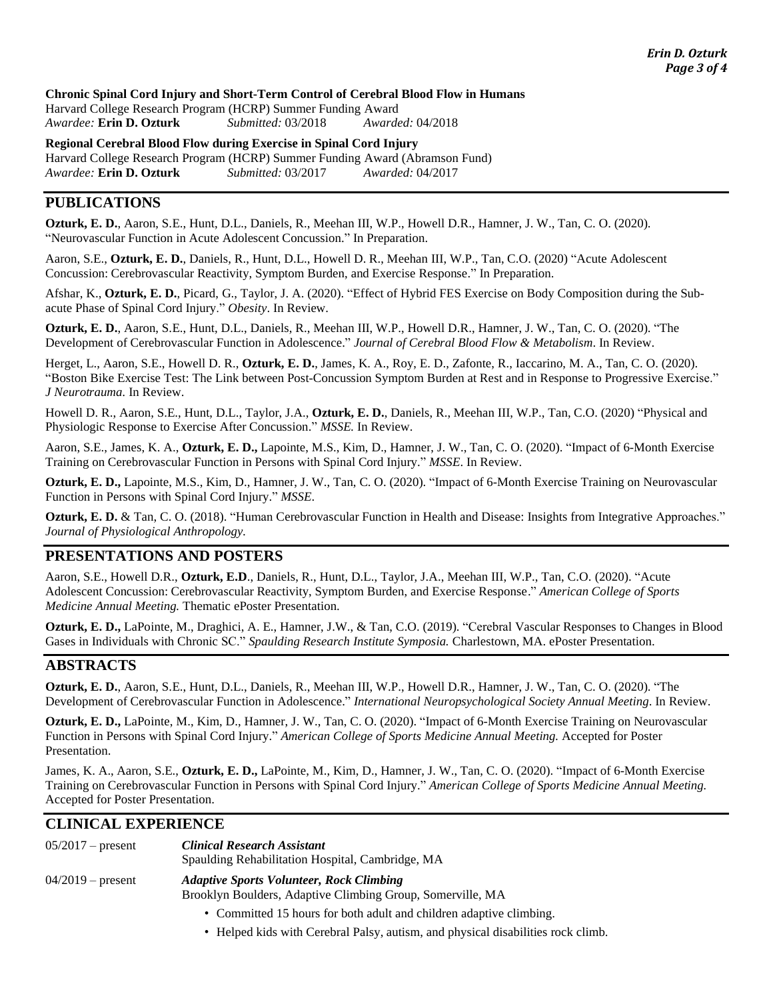#### **Chronic Spinal Cord Injury and Short-Term Control of Cerebral Blood Flow in Humans**

Harvard College Research Program (HCRP) Summer Funding Award *Awardee:* **Erin D. Ozturk** *Submitted:* 03/2018 *Awarded:* 04/2018

**Regional Cerebral Blood Flow during Exercise in Spinal Cord Injury** Harvard College Research Program (HCRP) Summer Funding Award (Abramson Fund) *Awardee:* **Erin D. Ozturk** *Submitted:* 03/2017 *Awarded:* 04/2017

### **PUBLICATIONS**

**Ozturk, E. D.**, Aaron, S.E., Hunt, D.L., Daniels, R., Meehan III, W.P., Howell D.R., Hamner, J. W., Tan, C. O. (2020). "Neurovascular Function in Acute Adolescent Concussion." In Preparation.

Aaron, S.E., **Ozturk, E. D.**, Daniels, R., Hunt, D.L., Howell D. R., Meehan III, W.P., Tan, C.O. (2020) "Acute Adolescent Concussion: Cerebrovascular Reactivity, Symptom Burden, and Exercise Response." In Preparation.

Afshar, K., **Ozturk, E. D.**, Picard, G., Taylor, J. A. (2020). "Effect of Hybrid FES Exercise on Body Composition during the Subacute Phase of Spinal Cord Injury." *Obesity*. In Review.

**Ozturk, E. D.**, Aaron, S.E., Hunt, D.L., Daniels, R., Meehan III, W.P., Howell D.R., Hamner, J. W., Tan, C. O. (2020). "The Development of Cerebrovascular Function in Adolescence." *Journal of Cerebral Blood Flow & Metabolism*. In Review.

Herget, L., Aaron, S.E., Howell D. R., **Ozturk, E. D.**, James, K. A., Roy, E. D., Zafonte, R., Iaccarino, M. A., Tan, C. O. (2020). "Boston Bike Exercise Test: The Link between Post-Concussion Symptom Burden at Rest and in Response to Progressive Exercise." *J Neurotrauma.* In Review.

Howell D. R., Aaron, S.E., Hunt, D.L., Taylor, J.A., **Ozturk, E. D.**, Daniels, R., Meehan III, W.P., Tan, C.O. (2020) "Physical and Physiologic Response to Exercise After Concussion." *MSSE.* In Review.

Aaron, S.E., James, K. A., **Ozturk, E. D.,** Lapointe, M.S., Kim, D., Hamner, J. W., Tan, C. O. (2020). "Impact of 6-Month Exercise Training on Cerebrovascular Function in Persons with Spinal Cord Injury." *MSSE*. In Review.

**Ozturk, E. D.,** Lapointe, M.S., Kim, D., Hamner, J. W., Tan, C. O. (2020). "Impact of 6-Month Exercise Training on Neurovascular Function in Persons with Spinal Cord Injury." *MSSE*.

**Ozturk, E. D.** & Tan, C. O. (2018). "Human Cerebrovascular Function in Health and Disease: Insights from Integrative Approaches." *Journal of Physiological Anthropology.*

#### **PRESENTATIONS AND POSTERS**

Aaron, S.E., Howell D.R., **Ozturk, E.D**., Daniels, R., Hunt, D.L., Taylor, J.A., Meehan III, W.P., Tan, C.O. (2020). "Acute Adolescent Concussion: Cerebrovascular Reactivity, Symptom Burden, and Exercise Response." *American College of Sports Medicine Annual Meeting.* Thematic ePoster Presentation.

**Ozturk, E. D.,** LaPointe, M., Draghici, A. E., Hamner, J.W., & Tan, C.O. (2019). "Cerebral Vascular Responses to Changes in Blood Gases in Individuals with Chronic SC." *Spaulding Research Institute Symposia.* Charlestown, MA. ePoster Presentation.

#### **ABSTRACTS**

**Ozturk, E. D.**, Aaron, S.E., Hunt, D.L., Daniels, R., Meehan III, W.P., Howell D.R., Hamner, J. W., Tan, C. O. (2020). "The Development of Cerebrovascular Function in Adolescence." *International Neuropsychological Society Annual Meeting*. In Review.

**Ozturk, E. D.,** LaPointe, M., Kim, D., Hamner, J. W., Tan, C. O. (2020). "Impact of 6-Month Exercise Training on Neurovascular Function in Persons with Spinal Cord Injury." *American College of Sports Medicine Annual Meeting.* Accepted for Poster Presentation.

James, K. A., Aaron, S.E., **Ozturk, E. D.,** LaPointe, M., Kim, D., Hamner, J. W., Tan, C. O. (2020). "Impact of 6-Month Exercise Training on Cerebrovascular Function in Persons with Spinal Cord Injury." *American College of Sports Medicine Annual Meeting.* Accepted for Poster Presentation.

#### **CLINICAL EXPERIENCE**

| $05/2017$ – present | <b>Clinical Research Assistant</b><br>Spaulding Rehabilitation Hospital, Cambridge, MA                        |
|---------------------|---------------------------------------------------------------------------------------------------------------|
| $04/2019$ – present | <b>Adaptive Sports Volunteer, Rock Climbing</b><br>Brooklyn Boulders, Adaptive Climbing Group, Somerville, MA |
|                     | • Committed 15 hours for both adult and children adaptive climbing.                                           |

• Helped kids with Cerebral Palsy, autism, and physical disabilities rock climb.